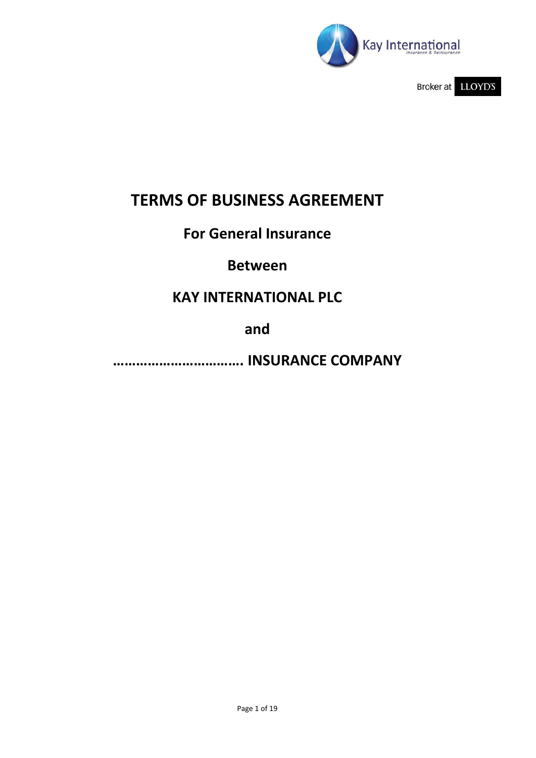

Broker at LLOYD'S

# **TERMS OF BUSINESS AGREEMENT**

## **For General Insurance**

## **Between**

## **KAY INTERNATIONAL PLC**

**and**

**……………………………. INSURANCE COMPANY**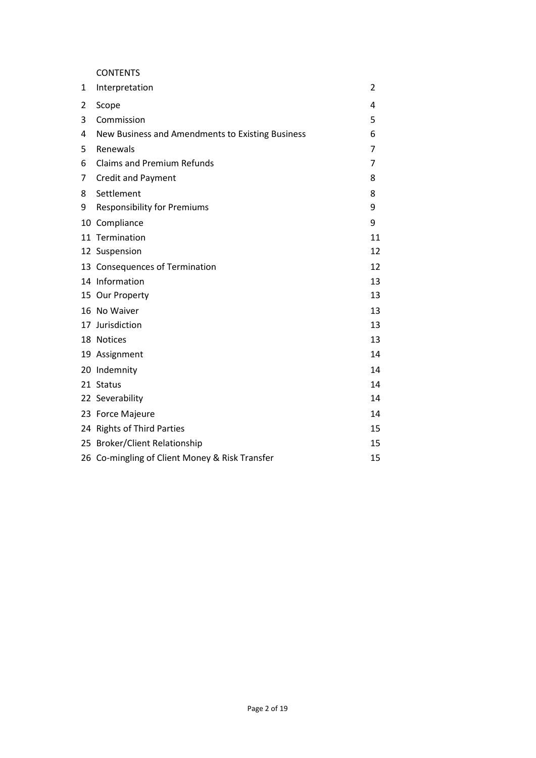CONTENTS

| 1  | Interpretation                                   | $\overline{2}$ |
|----|--------------------------------------------------|----------------|
| 2  | Scope                                            | 4              |
| 3  | Commission                                       | 5              |
| 4  | New Business and Amendments to Existing Business | 6              |
| 5  | Renewals                                         | 7              |
| 6  | <b>Claims and Premium Refunds</b>                | $\overline{7}$ |
| 7  | <b>Credit and Payment</b>                        | 8              |
| 8  | Settlement                                       | 8              |
| 9  | <b>Responsibility for Premiums</b>               | 9              |
| 10 | Compliance                                       | 9              |
|    | 11 Termination                                   | 11             |
|    | 12 Suspension                                    | 12             |
|    | 13 Consequences of Termination                   | 12             |
|    | 14 Information                                   | 13             |
|    | 15 Our Property                                  | 13             |
|    | 16 No Waiver                                     | 13             |
|    | 17 Jurisdiction                                  | 13             |
|    | 18 Notices                                       | 13             |
|    | 19 Assignment                                    | 14             |
|    | 20 Indemnity                                     | 14             |
|    | 21 Status                                        | 14             |
|    | 22 Severability                                  | 14             |
|    | 23 Force Majeure                                 | 14             |
|    | 24 Rights of Third Parties                       | 15             |
|    | 25 Broker/Client Relationship                    | 15             |
|    | 26 Co-mingling of Client Money & Risk Transfer   | 15             |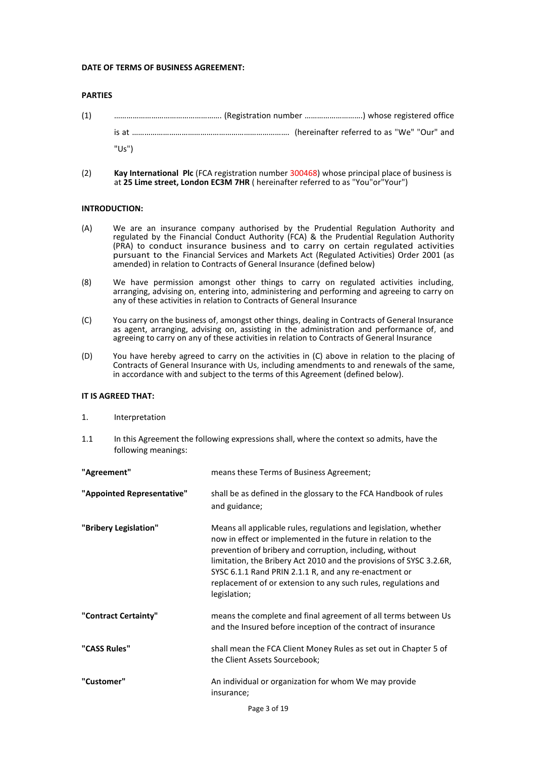#### **DATE OF TERMS OF BUSINESS AGREEMENT:**

#### **PARTIES**

- (1) ……………………………………………. (Registration number ……………………….) whose registered office is at …………………………………………………………………. (hereinafter referred to as "We" "Our" and "Us")
- (2) **Kay International Plc** (FCA registration number 300468) whose principal place of business is at **25 Lime street, London EC3M 7HR** ( hereinafter referred to as "You"or"Your")

#### **INTRODUCTION:**

- (A) We are an insurance company authorised by the Prudential Regulation Authority and regulated by the Financial Conduct Authority (FCA) & the Prudential Regulation Authority (PRA) to conduct insurance business and to carry on certain regulated activities pursuant to the Financial Services and Markets Act (Regulated Activities) Order 2001 (as amended) in relation to Contracts of General Insurance (defined below)
- (8) We have permission amongst other things to carry on regulated activities including, arranging, advising on, entering into, administering and performing and agreeing to carry on any of these activities in relation to Contracts of General Insurance
- (C) You carry on the business of, amongst other things, dealing in Contracts of General Insurance as agent, arranging, advising on, assisting in the administration and performance of, and agreeing to carry on any of these activities in relation to Contracts of General Insurance
- (D) You have hereby agreed to carry on the activities in (C) above in relation to the placing of Contracts of General Insurance with Us, including amendments to and renewals of the same, in accordance with and subject to the terms of this Agreement (defined below).

#### **IT IS AGREED THAT:**

- 1. Interpretation
- 1.1 In this Agreement the following expressions shall, where the context so admits, have the following meanings:

| "Agreement"                | means these Terms of Business Agreement;                                                                                                                                                                                                                                                                                                                                                                        |  |
|----------------------------|-----------------------------------------------------------------------------------------------------------------------------------------------------------------------------------------------------------------------------------------------------------------------------------------------------------------------------------------------------------------------------------------------------------------|--|
| "Appointed Representative" | shall be as defined in the glossary to the FCA Handbook of rules<br>and guidance;                                                                                                                                                                                                                                                                                                                               |  |
| "Bribery Legislation"      | Means all applicable rules, regulations and legislation, whether<br>now in effect or implemented in the future in relation to the<br>prevention of bribery and corruption, including, without<br>limitation, the Bribery Act 2010 and the provisions of SYSC 3.2.6R,<br>SYSC 6.1.1 Rand PRIN 2.1.1 R, and any re-enactment or<br>replacement of or extension to any such rules, regulations and<br>legislation; |  |
| "Contract Certainty"       | means the complete and final agreement of all terms between Us<br>and the Insured before inception of the contract of insurance                                                                                                                                                                                                                                                                                 |  |
| "CASS Rules"               | shall mean the FCA Client Money Rules as set out in Chapter 5 of<br>the Client Assets Sourcebook;                                                                                                                                                                                                                                                                                                               |  |
| "Customer"                 | An individual or organization for whom We may provide<br>insurance;                                                                                                                                                                                                                                                                                                                                             |  |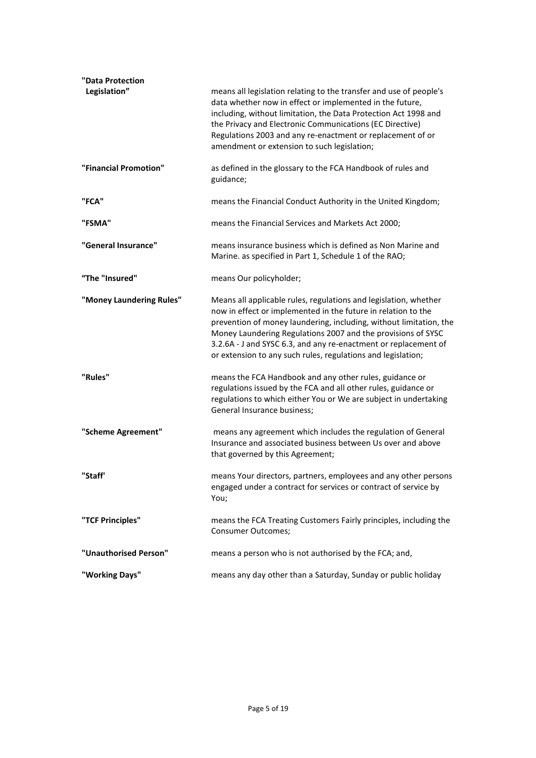| "Data Protection<br>Legislation" | means all legislation relating to the transfer and use of people's<br>data whether now in effect or implemented in the future,                                                                                                                                                                                                                                                                             |
|----------------------------------|------------------------------------------------------------------------------------------------------------------------------------------------------------------------------------------------------------------------------------------------------------------------------------------------------------------------------------------------------------------------------------------------------------|
|                                  | including, without limitation, the Data Protection Act 1998 and<br>the Privacy and Electronic Communications (EC Directive)<br>Regulations 2003 and any re-enactment or replacement of or<br>amendment or extension to such legislation;                                                                                                                                                                   |
| "Financial Promotion"            | as defined in the glossary to the FCA Handbook of rules and<br>guidance;                                                                                                                                                                                                                                                                                                                                   |
| "FCA"                            | means the Financial Conduct Authority in the United Kingdom;                                                                                                                                                                                                                                                                                                                                               |
| "FSMA"                           | means the Financial Services and Markets Act 2000;                                                                                                                                                                                                                                                                                                                                                         |
| "General Insurance"              | means insurance business which is defined as Non Marine and<br>Marine. as specified in Part 1, Schedule 1 of the RAO;                                                                                                                                                                                                                                                                                      |
| "The "Insured"                   | means Our policyholder;                                                                                                                                                                                                                                                                                                                                                                                    |
| "Money Laundering Rules"         | Means all applicable rules, regulations and legislation, whether<br>now in effect or implemented in the future in relation to the<br>prevention of money laundering, including, without limitation, the<br>Money Laundering Regulations 2007 and the provisions of SYSC<br>3.2.6A - J and SYSC 6.3, and any re-enactment or replacement of<br>or extension to any such rules, regulations and legislation; |
| "Rules"                          | means the FCA Handbook and any other rules, guidance or<br>regulations issued by the FCA and all other rules, guidance or<br>regulations to which either You or We are subject in undertaking<br>General Insurance business;                                                                                                                                                                               |
| "Scheme Agreement"               | means any agreement which includes the regulation of General<br>Insurance and associated business between Us over and above<br>that governed by this Agreement;                                                                                                                                                                                                                                            |
| "Staff'                          | means Your directors, partners, employees and any other persons<br>engaged under a contract for services or contract of service by<br>You;                                                                                                                                                                                                                                                                 |
| "TCF Principles"                 | means the FCA Treating Customers Fairly principles, including the<br><b>Consumer Outcomes;</b>                                                                                                                                                                                                                                                                                                             |
| "Unauthorised Person"            | means a person who is not authorised by the FCA; and,                                                                                                                                                                                                                                                                                                                                                      |
| "Working Days"                   | means any day other than a Saturday, Sunday or public holiday                                                                                                                                                                                                                                                                                                                                              |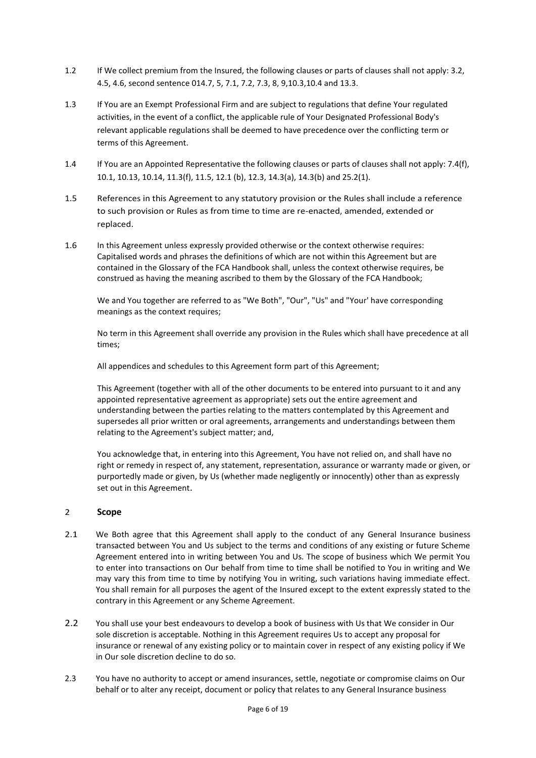- 1.2 If We collect premium from the Insured, the following clauses or parts of clauses shall not apply: 3.2, 4.5, 4.6, second sentence 014.7, 5, 7.1, 7.2, 7.3, 8, 9,10.3,10.4 and 13.3.
- 1.3 If You are an Exempt Professional Firm and are subject to regulations that define Your regulated activities, in the event of a conflict, the applicable rule of Your Designated Professional Body's relevant applicable regulations shall be deemed to have precedence over the conflicting term or terms of this Agreement.
- 1.4 If You are an Appointed Representative the following clauses or parts of clauses shall not apply: 7.4(f), 10.1, 10.13, 10.14, 11.3(f), 11.5, 12.1 (b), 12.3, 14.3(a), 14.3(b) and 25.2(1).
- 1.5 References in this Agreement to any statutory provision or the Rules shall include a reference to such provision or Rules as from time to time are re-enacted, amended, extended or replaced.
- 1.6 In this Agreement unless expressly provided otherwise or the context otherwise requires: Capitalised words and phrases the definitions of which are not within this Agreement but are contained in the Glossary of the FCA Handbook shall, unless the context otherwise requires, be construed as having the meaning ascribed to them by the Glossary of the FCA Handbook;

We and You together are referred to as "We Both", "Our", "Us" and "Your' have corresponding meanings as the context requires;

No term in this Agreement shall override any provision in the Rules which shall have precedence at all times;

All appendices and schedules to this Agreement form part of this Agreement;

This Agreement (together with all of the other documents to be entered into pursuant to it and any appointed representative agreement as appropriate) sets out the entire agreement and understanding between the parties relating to the matters contemplated by this Agreement and supersedes all prior written or oral agreements, arrangements and understandings between them relating to the Agreement's subject matter; and,

You acknowledge that, in entering into this Agreement, You have not relied on, and shall have no right or remedy in respect of, any statement, representation, assurance or warranty made or given, or purportedly made or given, by Us (whether made negligently or innocently) other than as expressly set out in this Agreement.

## 2 **Scope**

- 2.1 We Both agree that this Agreement shall apply to the conduct of any General Insurance business transacted between You and Us subject to the terms and conditions of any existing or future Scheme Agreement entered into in writing between You and Us. The scope of business which We permit You to enter into transactions on Our behalf from time to time shall be notified to You in writing and We may vary this from time to time by notifying You in writing, such variations having immediate effect. You shall remain for all purposes the agent of the Insured except to the extent expressly stated to the contrary in this Agreement or any Scheme Agreement.
- 2.2 You shall use your best endeavours to develop a book of business with Us that We consider in Our sole discretion is acceptable. Nothing in this Agreement requires Us to accept any proposal for insurance or renewal of any existing policy or to maintain cover in respect of any existing policy if We in Our sole discretion decline to do so.
- 2.3 You have no authority to accept or amend insurances, settle, negotiate or compromise claims on Our behalf or to alter any receipt, document or policy that relates to any General Insurance business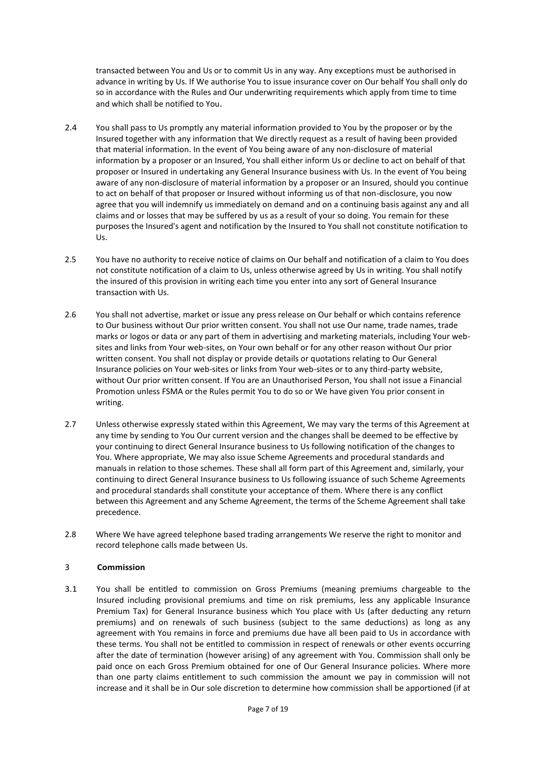transacted between You and Us or to commit Us in any way. Any exceptions must be authorised in advance in writing by Us. If We authorise You to issue insurance cover on Our behalf You shall only do so in accordance with the Rules and Our underwriting requirements which apply from time to time and which shall be notified to You.

- 2.4 You shall pass to Us promptly any material information provided to You by the proposer or by the Insured together with any information that We directly request as a result of having been provided that material information. In the event of You being aware of any non-disclosure of material information by a proposer or an Insured, You shall either inform Us or decline to act on behalf of that proposer or Insured in undertaking any General Insurance business with Us. In the event of You being aware of any non-disclosure of material information by a proposer or an Insured, should you continue to act on behalf of that proposer or Insured without informing us of that non-disclosure, you now agree that you will indemnify us immediately on demand and on a continuing basis against any and all claims and or losses that may be suffered by us as a result of your so doing. You remain for these purposes the Insured's agent and notification by the Insured to You shall not constitute notification to Us.
- 2.5 You have no authority to receive notice of claims on Our behalf and notification of a claim to You does not constitute notification of a claim to Us, unless otherwise agreed by Us in writing. You shall notify the insured of this provision in writing each time you enter into any sort of General Insurance transaction with Us.
- 2.6 You shall not advertise, market or issue any press release on Our behalf or which contains reference to Our business without Our prior written consent. You shall not use Our name, trade names, trade marks or logos or data or any part of them in advertising and marketing materials, including Your websites and links from Your web-sites, on Your own behalf or for any other reason without Our prior written consent. You shall not display or provide details or quotations relating to Our General Insurance policies on Your web-sites or links from Your web-sites or to any third-party website, without Our prior written consent. If You are an Unauthorised Person, You shall not issue a Financial Promotion unless FSMA or the Rules permit You to do so or We have given You prior consent in writing.
- 2.7 Unless otherwise expressly stated within this Agreement, We may vary the terms of this Agreement at any time by sending to You Our current version and the changes shall be deemed to be effective by your continuing to direct General Insurance business to Us following notification of the changes to You. Where appropriate, We may also issue Scheme Agreements and procedural standards and manuals in relation to those schemes. These shall all form part of this Agreement and, similarly, your continuing to direct General Insurance business to Us following issuance of such Scheme Agreements and procedural standards shall constitute your acceptance of them. Where there is any conflict between this Agreement and any Scheme Agreement, the terms of the Scheme Agreement shall take precedence.
- 2.8 Where We have agreed telephone based trading arrangements We reserve the right to monitor and record telephone calls made between Us.

## 3 **Commission**

3.1 You shall be entitled to commission on Gross Premiums (meaning premiums chargeable to the Insured including provisional premiums and time on risk premiums, less any applicable Insurance Premium Tax) for General Insurance business which You place with Us (after deducting any return premiums) and on renewals of such business (subject to the same deductions) as long as any agreement with You remains in force and premiums due have all been paid to Us in accordance with these terms. You shall not be entitled to commission in respect of renewals or other events occurring after the date of termination (however arising) of any agreement with You. Commission shall only be paid once on each Gross Premium obtained for one of Our General Insurance policies. Where more than one party claims entitlement to such commission the amount we pay in commission will not increase and it shall be in Our sole discretion to determine how commission shall be apportioned (if at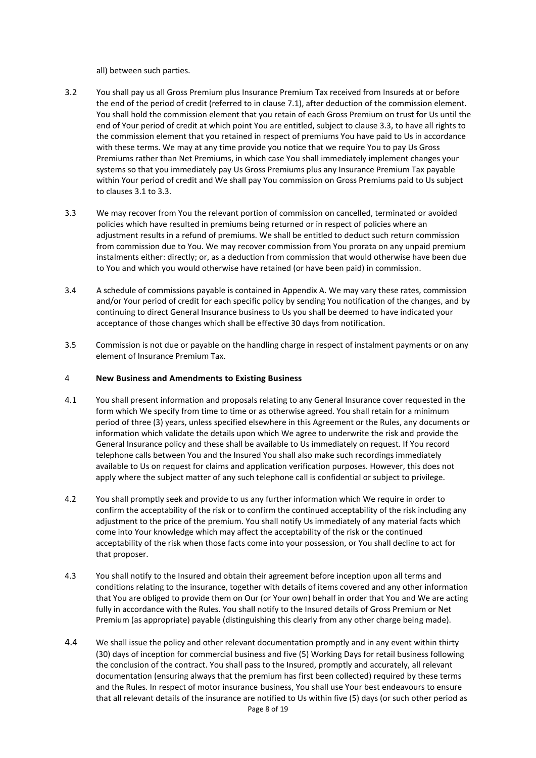all) between such parties.

- 3.2 You shall pay us all Gross Premium plus Insurance Premium Tax received from Insureds at or before the end of the period of credit (referred to in clause 7.1), after deduction of the commission element. You shall hold the commission element that you retain of each Gross Premium on trust for Us until the end of Your period of credit at which point You are entitled, subject to clause 3.3, to have all rights to the commission element that you retained in respect of premiums You have paid to Us in accordance with these terms. We may at any time provide you notice that we require You to pay Us Gross Premiums rather than Net Premiums, in which case You shall immediately implement changes your systems so that you immediately pay Us Gross Premiums plus any Insurance Premium Tax payable within Your period of credit and We shall pay You commission on Gross Premiums paid to Us subject to clauses 3.1 to 3.3.
- 3.3 We may recover from You the relevant portion of commission on cancelled, terminated or avoided policies which have resulted in premiums being returned or in respect of policies where an adjustment results in a refund of premiums. We shall be entitled to deduct such return commission from commission due to You. We may recover commission from You prorata on any unpaid premium instalments either: directly; or, as a deduction from commission that would otherwise have been due to You and which you would otherwise have retained (or have been paid) in commission.
- 3.4 A schedule of commissions payable is contained in Appendix A. We may vary these rates, commission and/or Your period of credit for each specific policy by sending You notification of the changes, and by continuing to direct General Insurance business to Us you shall be deemed to have indicated your acceptance of those changes which shall be effective 30 days from notification.
- 3.5 Commission is not due or payable on the handling charge in respect of instalment payments or on any element of Insurance Premium Tax.

#### 4 **New Business and Amendments to Existing Business**

- 4.1 You shall present information and proposals relating to any General Insurance cover requested in the form which We specify from time to time or as otherwise agreed. You shall retain for a minimum period of three (3) years, unless specified elsewhere in this Agreement or the Rules, any documents or information which validate the details upon which We agree to underwrite the risk and provide the General Insurance policy and these shall be available to Us immediately on request. If You record telephone calls between You and the Insured You shall also make such recordings immediately available to Us on request for claims and application verification purposes. However, this does not apply where the subject matter of any such telephone call is confidential or subject to privilege.
- 4.2 You shall promptly seek and provide to us any further information which We require in order to confirm the acceptability of the risk or to confirm the continued acceptability of the risk including any adjustment to the price of the premium. You shall notify Us immediately of any material facts which come into Your knowledge which may affect the acceptability of the risk or the continued acceptability of the risk when those facts come into your possession, or You shall decline to act for that proposer.
- 4.3 You shall notify to the Insured and obtain their agreement before inception upon all terms and conditions relating to the insurance, together with details of items covered and any other information that You are obliged to provide them on Our (or Your own) behalf in order that You and We are acting fully in accordance with the Rules. You shall notify to the Insured details of Gross Premium or Net Premium (as appropriate) payable (distinguishing this clearly from any other charge being made).
- 4.4 We shall issue the policy and other relevant documentation promptly and in any event within thirty (30) days of inception for commercial business and five (5) Working Days for retail business following the conclusion of the contract. You shall pass to the Insured, promptly and accurately, all relevant documentation (ensuring always that the premium has first been collected) required by these terms and the Rules. In respect of motor insurance business, You shall use Your best endeavours to ensure that all relevant details of the insurance are notified to Us within five (5) days (or such other period as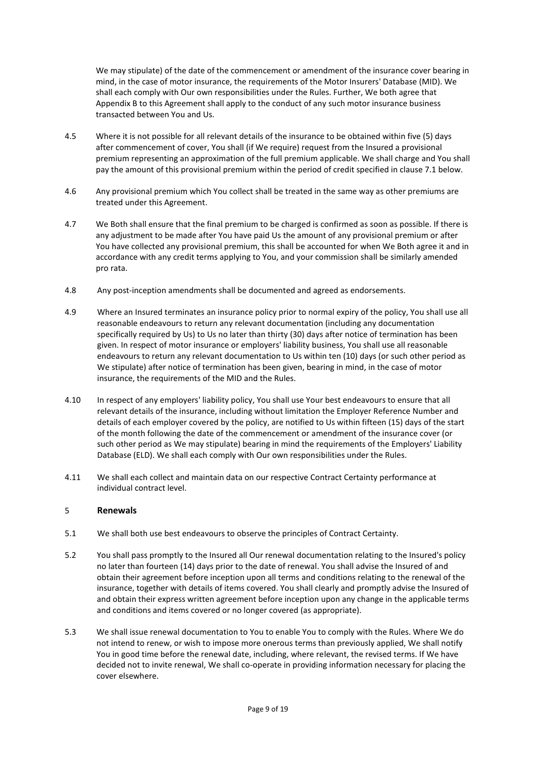We may stipulate) of the date of the commencement or amendment of the insurance cover bearing in mind, in the case of motor insurance, the requirements of the Motor Insurers' Database (MID). We shall each comply with Our own responsibilities under the Rules. Further, We both agree that Appendix B to this Agreement shall apply to the conduct of any such motor insurance business transacted between You and Us.

- 4.5 Where it is not possible for all relevant details of the insurance to be obtained within five (5) days after commencement of cover, You shall (if We require) request from the Insured a provisional premium representing an approximation of the full premium applicable. We shall charge and You shall pay the amount of this provisional premium within the period of credit specified in clause 7.1 below.
- 4.6 Any provisional premium which You collect shall be treated in the same way as other premiums are treated under this Agreement.
- 4.7 We Both shall ensure that the final premium to be charged is confirmed as soon as possible. If there is any adjustment to be made after You have paid Us the amount of any provisional premium or after You have collected any provisional premium, this shall be accounted for when We Both agree it and in accordance with any credit terms applying to You, and your commission shall be similarly amended pro rata.
- 4.8 Any post-inception amendments shall be documented and agreed as endorsements.
- 4.9 Where an Insured terminates an insurance policy prior to normal expiry of the policy, You shall use all reasonable endeavours to return any relevant documentation (including any documentation specifically required by Us) to Us no later than thirty (30) days after notice of termination has been given. In respect of motor insurance or employers' liability business, You shall use all reasonable endeavours to return any relevant documentation to Us within ten (10) days (or such other period as We stipulate) after notice of termination has been given, bearing in mind, in the case of motor insurance, the requirements of the MID and the Rules.
- 4.10 In respect of any employers' liability policy, You shall use Your best endeavours to ensure that all relevant details of the insurance, including without limitation the Employer Reference Number and details of each employer covered by the policy, are notified to Us within fifteen (15) days of the start of the month following the date of the commencement or amendment of the insurance cover (or such other period as We may stipulate) bearing in mind the requirements of the Employers' Liability Database (ELD). We shall each comply with Our own responsibilities under the Rules.
- 4.11 We shall each collect and maintain data on our respective Contract Certainty performance at individual contract level.

## 5 **Renewals**

- 5.1 We shall both use best endeavours to observe the principles of Contract Certainty.
- 5.2 You shall pass promptly to the Insured all Our renewal documentation relating to the Insured's policy no later than fourteen (14) days prior to the date of renewal. You shall advise the Insured of and obtain their agreement before inception upon all terms and conditions relating to the renewal of the insurance, together with details of items covered. You shall clearly and promptly advise the Insured of and obtain their express written agreement before inception upon any change in the applicable terms and conditions and items covered or no longer covered (as appropriate).
- 5.3 We shall issue renewal documentation to You to enable You to comply with the Rules. Where We do not intend to renew, or wish to impose more onerous terms than previously applied, We shall notify You in good time before the renewal date, including, where relevant, the revised terms. If We have decided not to invite renewal, We shall co-operate in providing information necessary for placing the cover elsewhere.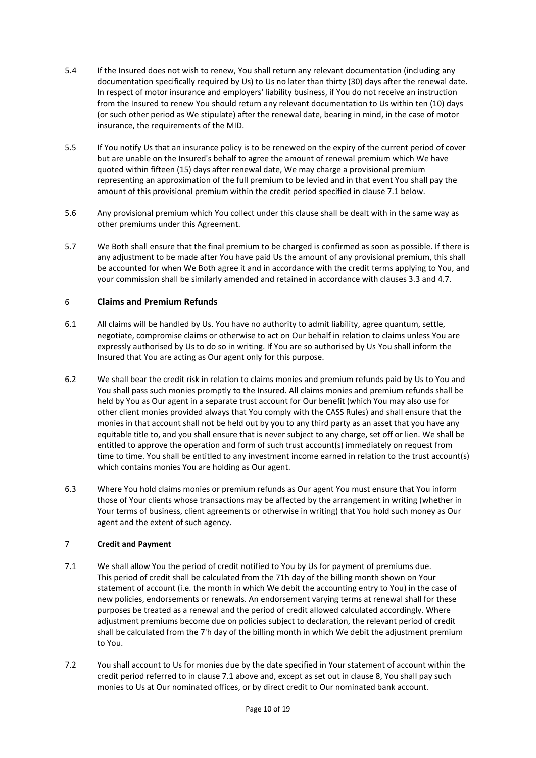- 5.4 If the Insured does not wish to renew, You shall return any relevant documentation (including any documentation specifically required by Us) to Us no later than thirty (30) days after the renewal date. In respect of motor insurance and employers' liability business, if You do not receive an instruction from the Insured to renew You should return any relevant documentation to Us within ten (10) days (or such other period as We stipulate) after the renewal date, bearing in mind, in the case of motor insurance, the requirements of the MID.
- 5.5 If You notify Us that an insurance policy is to be renewed on the expiry of the current period of cover but are unable on the Insured's behalf to agree the amount of renewal premium which We have quoted within fifteen (15) days after renewal date, We may charge a provisional premium representing an approximation of the full premium to be levied and in that event You shall pay the amount of this provisional premium within the credit period specified in clause 7.1 below.
- 5.6 Any provisional premium which You collect under this clause shall be dealt with in the same way as other premiums under this Agreement.
- 5.7 We Both shall ensure that the final premium to be charged is confirmed as soon as possible. If there is any adjustment to be made after You have paid Us the amount of any provisional premium, this shall be accounted for when We Both agree it and in accordance with the credit terms applying to You, and your commission shall be similarly amended and retained in accordance with clauses 3.3 and 4.7.

#### 6 **Claims and Premium Refunds**

- 6.1 All claims will be handled by Us. You have no authority to admit liability, agree quantum, settle, negotiate, compromise claims or otherwise to act on Our behalf in relation to claims unless You are expressly authorised by Us to do so in writing. If You are so authorised by Us You shall inform the Insured that You are acting as Our agent only for this purpose.
- 6.2 We shall bear the credit risk in relation to claims monies and premium refunds paid by Us to You and You shall pass such monies promptly to the Insured. All claims monies and premium refunds shall be held by You as Our agent in a separate trust account for Our benefit (which You may also use for other client monies provided always that You comply with the CASS Rules) and shall ensure that the monies in that account shall not be held out by you to any third party as an asset that you have any equitable title to, and you shall ensure that is never subject to any charge, set off or lien. We shall be entitled to approve the operation and form of such trust account(s) immediately on request from time to time. You shall be entitled to any investment income earned in relation to the trust account(s) which contains monies You are holding as Our agent.
- 6.3 Where You hold claims monies or premium refunds as Our agent You must ensure that You inform those of Your clients whose transactions may be affected by the arrangement in writing (whether in Your terms of business, client agreements or otherwise in writing) that You hold such money as Our agent and the extent of such agency.

## 7 **Credit and Payment**

- 7.1 We shall allow You the period of credit notified to You by Us for payment of premiums due. This period of credit shall be calculated from the 71h day of the billing month shown on Your statement of account (i.e. the month in which We debit the accounting entry to You) in the case of new policies, endorsements or renewals. An endorsement varying terms at renewal shall for these purposes be treated as a renewal and the period of credit allowed calculated accordingly. Where adjustment premiums become due on policies subject to declaration, the relevant period of credit shall be calculated from the 7'h day of the billing month in which We debit the adjustment premium to You.
- 7.2 You shall account to Us for monies due by the date specified in Your statement of account within the credit period referred to in clause 7.1 above and, except as set out in clause 8, You shall pay such monies to Us at Our nominated offices, or by direct credit to Our nominated bank account.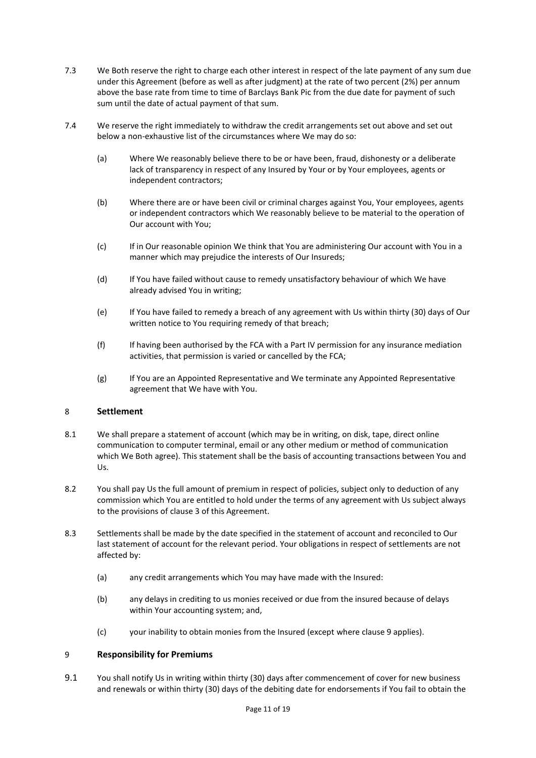- 7.3 We Both reserve the right to charge each other interest in respect of the late payment of any sum due under this Agreement (before as well as after judgment) at the rate of two percent (2%) per annum above the base rate from time to time of Barclays Bank Pic from the due date for payment of such sum until the date of actual payment of that sum.
- 7.4 We reserve the right immediately to withdraw the credit arrangements set out above and set out below a non-exhaustive list of the circumstances where We may do so:
	- (a) Where We reasonably believe there to be or have been, fraud, dishonesty or a deliberate lack of transparency in respect of any Insured by Your or by Your employees, agents or independent contractors;
	- (b) Where there are or have been civil or criminal charges against You, Your employees, agents or independent contractors which We reasonably believe to be material to the operation of Our account with You;
	- (c) If in Our reasonable opinion We think that You are administering Our account with You in a manner which may prejudice the interests of Our Insureds;
	- (d) If You have failed without cause to remedy unsatisfactory behaviour of which We have already advised You in writing;
	- (e) If You have failed to remedy a breach of any agreement with Us within thirty (30) days of Our written notice to You requiring remedy of that breach:
	- (f) If having been authorised by the FCA with a Part IV permission for any insurance mediation activities, that permission is varied or cancelled by the FCA;
	- (g) If You are an Appointed Representative and We terminate any Appointed Representative agreement that We have with You.

## 8 **Settlement**

- 8.1 We shall prepare a statement of account (which may be in writing, on disk, tape, direct online communication to computer terminal, email or any other medium or method of communication which We Both agree). This statement shall be the basis of accounting transactions between You and Us.
- 8.2 You shall pay Us the full amount of premium in respect of policies, subject only to deduction of any commission which You are entitled to hold under the terms of any agreement with Us subject always to the provisions of clause 3 of this Agreement.
- 8.3 Settlements shall be made by the date specified in the statement of account and reconciled to Our last statement of account for the relevant period. Your obligations in respect of settlements are not affected by:
	- (a) any credit arrangements which You may have made with the Insured:
	- (b) any delays in crediting to us monies received or due from the insured because of delays within Your accounting system; and,
	- (c) your inability to obtain monies from the Insured (except where clause 9 applies).

## 9 **Responsibility for Premiums**

9.1 You shall notify Us in writing within thirty (30) days after commencement of cover for new business and renewals or within thirty (30) days of the debiting date for endorsements if You fail to obtain the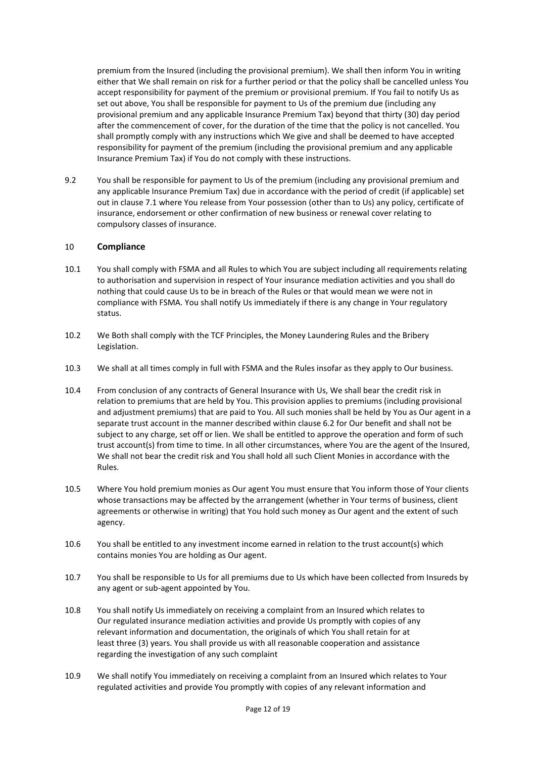premium from the Insured (including the provisional premium). We shall then inform You in writing either that We shall remain on risk for a further period or that the policy shall be cancelled unless You accept responsibility for payment of the premium or provisional premium. If You fail to notify Us as set out above, You shall be responsible for payment to Us of the premium due (including any provisional premium and any applicable Insurance Premium Tax) beyond that thirty (30) day period after the commencement of cover, for the duration of the time that the policy is not cancelled. You shall promptly comply with any instructions which We give and shall be deemed to have accepted responsibility for payment of the premium (including the provisional premium and any applicable Insurance Premium Tax) if You do not comply with these instructions.

9.2 You shall be responsible for payment to Us of the premium (including any provisional premium and any applicable Insurance Premium Tax) due in accordance with the period of credit (if applicable) set out in clause 7.1 where You release from Your possession (other than to Us) any policy, certificate of insurance, endorsement or other confirmation of new business or renewal cover relating to compulsory classes of insurance.

#### 10 **Compliance**

- 10.1 You shall comply with FSMA and all Rules to which You are subject including all requirements relating to authorisation and supervision in respect of Your insurance mediation activities and you shall do nothing that could cause Us to be in breach of the Rules or that would mean we were not in compliance with FSMA. You shall notify Us immediately if there is any change in Your regulatory status.
- 10.2 We Both shall comply with the TCF Principles, the Money Laundering Rules and the Bribery Legislation.
- 10.3 We shall at all times comply in full with FSMA and the Rules insofar as they apply to Our business.
- 10.4 From conclusion of any contracts of General Insurance with Us, We shall bear the credit risk in relation to premiums that are held by You. This provision applies to premiums (including provisional and adjustment premiums) that are paid to You. All such monies shall be held by You as Our agent in a separate trust account in the manner described within clause 6.2 for Our benefit and shall not be subject to any charge, set off or lien. We shall be entitled to approve the operation and form of such trust account(s) from time to time. In all other circumstances, where You are the agent of the Insured, We shall not bear the credit risk and You shall hold all such Client Monies in accordance with the Rules.
- 10.5 Where You hold premium monies as Our agent You must ensure that You inform those of Your clients whose transactions may be affected by the arrangement (whether in Your terms of business, client agreements or otherwise in writing) that You hold such money as Our agent and the extent of such agency.
- 10.6 You shall be entitled to any investment income earned in relation to the trust account(s) which contains monies You are holding as Our agent.
- 10.7 You shall be responsible to Us for all premiums due to Us which have been collected from Insureds by any agent or sub-agent appointed by You.
- 10.8 You shall notify Us immediately on receiving a complaint from an Insured which relates to Our regulated insurance mediation activities and provide Us promptly with copies of any relevant information and documentation, the originals of which You shall retain for at least three (3) years. You shall provide us with all reasonable cooperation and assistance regarding the investigation of any such complaint
- 10.9 We shall notify You immediately on receiving a complaint from an Insured which relates to Your regulated activities and provide You promptly with copies of any relevant information and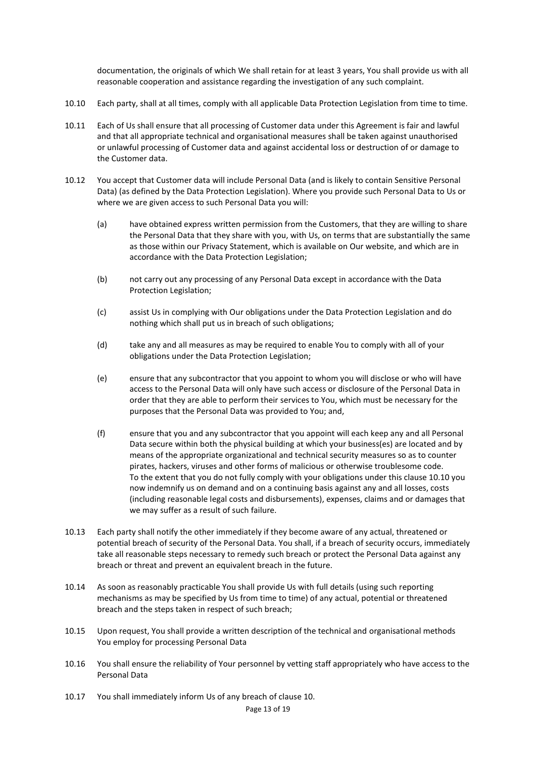documentation, the originals of which We shall retain for at least 3 years, You shall provide us with all reasonable cooperation and assistance regarding the investigation of any such complaint.

- 10.10 Each party, shall at all times, comply with all applicable Data Protection Legislation from time to time.
- 10.11 Each of Us shall ensure that all processing of Customer data under this Agreement is fair and lawful and that all appropriate technical and organisational measures shall be taken against unauthorised or unlawful processing of Customer data and against accidental loss or destruction of or damage to the Customer data.
- 10.12 You accept that Customer data will include Personal Data (and is likely to contain Sensitive Personal Data) (as defined by the Data Protection Legislation). Where you provide such Personal Data to Us or where we are given access to such Personal Data you will:
	- (a) have obtained express written permission from the Customers, that they are willing to share the Personal Data that they share with you, with Us, on terms that are substantially the same as those within our Privacy Statement, which is available on Our website, and which are in accordance with the Data Protection Legislation;
	- (b) not carry out any processing of any Personal Data except in accordance with the Data Protection Legislation;
	- (c) assist Us in complying with Our obligations under the Data Protection Legislation and do nothing which shall put us in breach of such obligations;
	- (d) take any and all measures as may be required to enable You to comply with all of your obligations under the Data Protection Legislation;
	- (e) ensure that any subcontractor that you appoint to whom you will disclose or who will have access to the Personal Data will only have such access or disclosure of the Personal Data in order that they are able to perform their services to You, which must be necessary for the purposes that the Personal Data was provided to You; and,
	- (f) ensure that you and any subcontractor that you appoint will each keep any and all Personal Data secure within both the physical building at which your business(es) are located and by means of the appropriate organizational and technical security measures so as to counter pirates, hackers, viruses and other forms of malicious or otherwise troublesome code. To the extent that you do not fully comply with your obligations under this clause 10.10 you now indemnify us on demand and on a continuing basis against any and all losses, costs (including reasonable legal costs and disbursements), expenses, claims and or damages that we may suffer as a result of such failure.
- 10.13 Each party shall notify the other immediately if they become aware of any actual, threatened or potential breach of security of the Personal Data. You shall, if a breach of security occurs, immediately take all reasonable steps necessary to remedy such breach or protect the Personal Data against any breach or threat and prevent an equivalent breach in the future.
- 10.14 As soon as reasonably practicable You shall provide Us with full details (using such reporting mechanisms as may be specified by Us from time to time) of any actual, potential or threatened breach and the steps taken in respect of such breach;
- 10.15 Upon request, You shall provide a written description of the technical and organisational methods You employ for processing Personal Data
- 10.16 You shall ensure the reliability of Your personnel by vetting staff appropriately who have access to the Personal Data
- 10.17 You shall immediately inform Us of any breach of clause 10.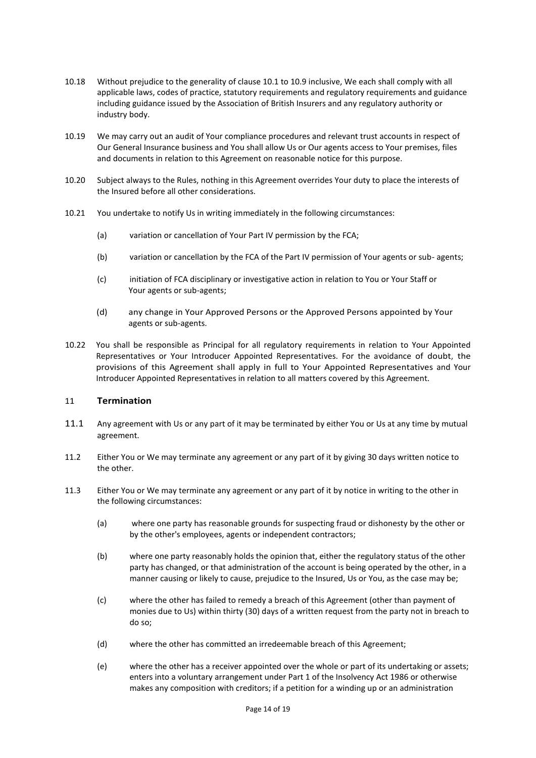- 10.18 Without prejudice to the generality of clause 10.1 to 10.9 inclusive, We each shall comply with all applicable laws, codes of practice, statutory requirements and regulatory requirements and guidance including guidance issued by the Association of British Insurers and any regulatory authority or industry body.
- 10.19 We may carry out an audit of Your compliance procedures and relevant trust accounts in respect of Our General Insurance business and You shall allow Us or Our agents access to Your premises, files and documents in relation to this Agreement on reasonable notice for this purpose.
- 10.20 Subject always to the Rules, nothing in this Agreement overrides Your duty to place the interests of the Insured before all other considerations.
- 10.21 You undertake to notify Us in writing immediately in the following circumstances:
	- (a) variation or cancellation of Your Part IV permission by the FCA;
	- (b) variation or cancellation by the FCA of the Part IV permission of Your agents or sub- agents;
	- (c) initiation of FCA disciplinary or investigative action in relation to You or Your Staff or Your agents or sub-agents;
	- (d) any change in Your Approved Persons or the Approved Persons appointed by Your agents or sub-agents.
- 10.22 You shall be responsible as Principal for all regulatory requirements in relation to Your Appointed Representatives or Your Introducer Appointed Representatives. For the avoidance of doubt, the provisions of this Agreement shall apply in full to Your Appointed Representatives and Your Introducer Appointed Representatives in relation to all matters covered by this Agreement.

#### 11 **Termination**

- 11.1 Any agreement with Us or any part of it may be terminated by either You or Us at any time by mutual agreement.
- 11.2 Either You or We may terminate any agreement or any part of it by giving 30 days written notice to the other.
- 11.3 Either You or We may terminate any agreement or any part of it by notice in writing to the other in the following circumstances:
	- (a) where one party has reasonable grounds for suspecting fraud or dishonesty by the other or by the other's employees, agents or independent contractors;
	- (b) where one party reasonably holds the opinion that, either the regulatory status of the other party has changed, or that administration of the account is being operated by the other, in a manner causing or likely to cause, prejudice to the Insured, Us or You, as the case may be;
	- (c) where the other has failed to remedy a breach of this Agreement (other than payment of monies due to Us) within thirty (30) days of a written request from the party not in breach to do so;
	- (d) where the other has committed an irredeemable breach of this Agreement;
	- (e) where the other has a receiver appointed over the whole or part of its undertaking or assets; enters into a voluntary arrangement under Part 1 of the Insolvency Act 1986 or otherwise makes any composition with creditors; if a petition for a winding up or an administration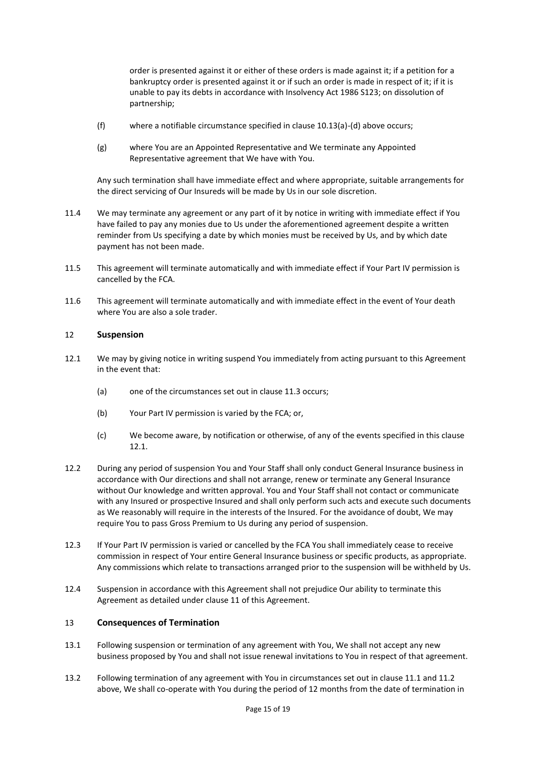order is presented against it or either of these orders is made against it; if a petition for a bankruptcy order is presented against it or if such an order is made in respect of it; if it is unable to pay its debts in accordance with Insolvency Act 1986 S123; on dissolution of partnership;

- (f) where a notifiable circumstance specified in clause 10.13(a)-(d) above occurs;
- (g) where You are an Appointed Representative and We terminate any Appointed Representative agreement that We have with You.

Any such termination shall have immediate effect and where appropriate, suitable arrangements for the direct servicing of Our Insureds will be made by Us in our sole discretion.

- 11.4 We may terminate any agreement or any part of it by notice in writing with immediate effect if You have failed to pay any monies due to Us under the aforementioned agreement despite a written reminder from Us specifying a date by which monies must be received by Us, and by which date payment has not been made.
- 11.5 This agreement will terminate automatically and with immediate effect if Your Part IV permission is cancelled by the FCA.
- 11.6 This agreement will terminate automatically and with immediate effect in the event of Your death where You are also a sole trader.

#### 12 **Suspension**

- 12.1 We may by giving notice in writing suspend You immediately from acting pursuant to this Agreement in the event that:
	- (a) one of the circumstances set out in clause 11.3 occurs;
	- (b) Your Part IV permission is varied by the FCA; or,
	- (c) We become aware, by notification or otherwise, of any of the events specified in this clause 12.1.
- 12.2 During any period of suspension You and Your Staff shall only conduct General Insurance business in accordance with Our directions and shall not arrange, renew or terminate any General Insurance without Our knowledge and written approval. You and Your Staff shall not contact or communicate with any Insured or prospective Insured and shall only perform such acts and execute such documents as We reasonably will require in the interests of the Insured. For the avoidance of doubt, We may require You to pass Gross Premium to Us during any period of suspension.
- 12.3 If Your Part IV permission is varied or cancelled by the FCA You shall immediately cease to receive commission in respect of Your entire General Insurance business or specific products, as appropriate. Any commissions which relate to transactions arranged prior to the suspension will be withheld by Us.
- 12.4 Suspension in accordance with this Agreement shall not prejudice Our ability to terminate this Agreement as detailed under clause 11 of this Agreement.

#### 13 **Consequences of Termination**

- 13.1 Following suspension or termination of any agreement with You, We shall not accept any new business proposed by You and shall not issue renewal invitations to You in respect of that agreement.
- 13.2 Following termination of any agreement with You in circumstances set out in clause 11.1 and 11.2 above, We shall co-operate with You during the period of 12 months from the date of termination in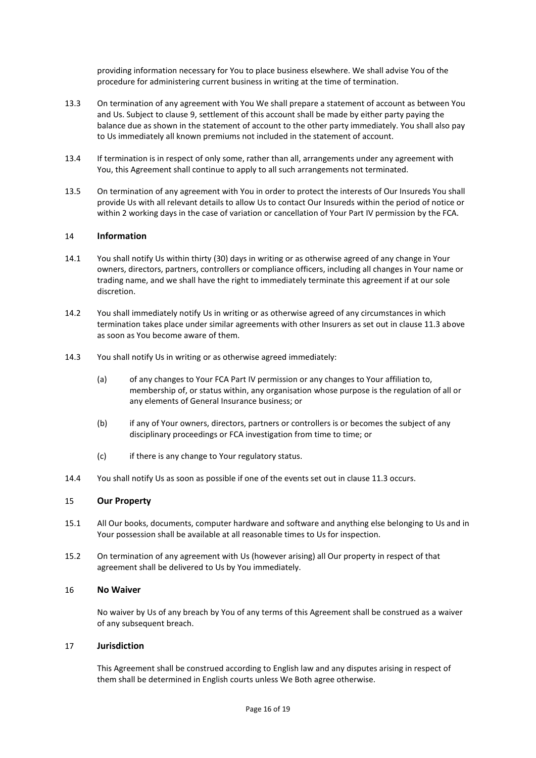providing information necessary for You to place business elsewhere. We shall advise You of the procedure for administering current business in writing at the time of termination.

- 13.3 On termination of any agreement with You We shall prepare a statement of account as between You and Us. Subject to clause 9, settlement of this account shall be made by either party paying the balance due as shown in the statement of account to the other party immediately. You shall also pay to Us immediately all known premiums not included in the statement of account.
- 13.4 If termination is in respect of only some, rather than all, arrangements under any agreement with You, this Agreement shall continue to apply to all such arrangements not terminated.
- 13.5 On termination of any agreement with You in order to protect the interests of Our Insureds You shall provide Us with all relevant details to allow Us to contact Our Insureds within the period of notice or within 2 working days in the case of variation or cancellation of Your Part IV permission by the FCA.

#### 14 **Information**

- 14.1 You shall notify Us within thirty (30) days in writing or as otherwise agreed of any change in Your owners, directors, partners, controllers or compliance officers, including all changes in Your name or trading name, and we shall have the right to immediately terminate this agreement if at our sole discretion.
- 14.2 You shall immediately notify Us in writing or as otherwise agreed of any circumstances in which termination takes place under similar agreements with other Insurers as set out in clause 11.3 above as soon as You become aware of them.
- 14.3 You shall notify Us in writing or as otherwise agreed immediately:
	- (a) of any changes to Your FCA Part IV permission or any changes to Your affiliation to, membership of, or status within, any organisation whose purpose is the regulation of all or any elements of General Insurance business; or
	- (b) if any of Your owners, directors, partners or controllers is or becomes the subject of any disciplinary proceedings or FCA investigation from time to time; or
	- (c) if there is any change to Your regulatory status.
- 14.4 You shall notify Us as soon as possible if one of the events set out in clause 11.3 occurs.

#### 15 **Our Property**

- 15.1 All Our books, documents, computer hardware and software and anything else belonging to Us and in Your possession shall be available at all reasonable times to Us for inspection.
- 15.2 On termination of any agreement with Us (however arising) all Our property in respect of that agreement shall be delivered to Us by You immediately.

#### 16 **No Waiver**

No waiver by Us of any breach by You of any terms of this Agreement shall be construed as a waiver of any subsequent breach.

#### 17 **Jurisdiction**

This Agreement shall be construed according to English law and any disputes arising in respect of them shall be determined in English courts unless We Both agree otherwise.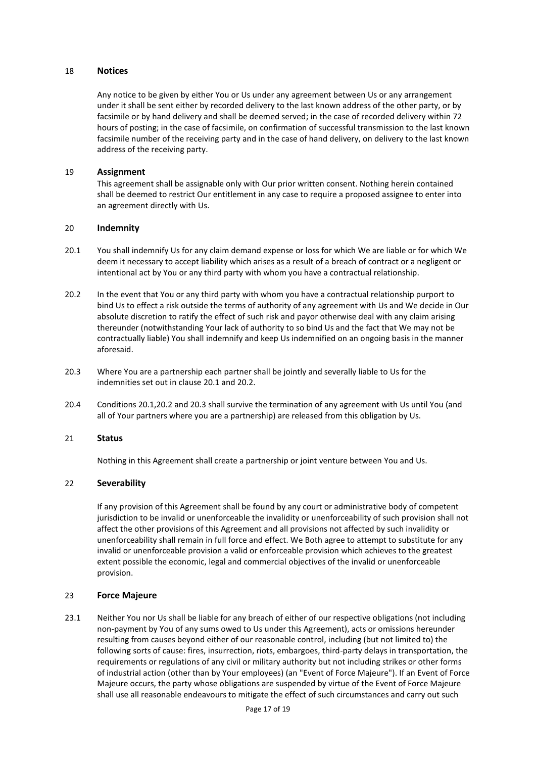#### 18 **Notices**

Any notice to be given by either You or Us under any agreement between Us or any arrangement under it shall be sent either by recorded delivery to the last known address of the other party, or by facsimile or by hand delivery and shall be deemed served; in the case of recorded delivery within 72 hours of posting; in the case of facsimile, on confirmation of successful transmission to the last known facsimile number of the receiving party and in the case of hand delivery, on delivery to the last known address of the receiving party.

#### 19 **Assignment**

This agreement shall be assignable only with Our prior written consent. Nothing herein contained shall be deemed to restrict Our entitlement in any case to require a proposed assignee to enter into an agreement directly with Us.

#### 20 **Indemnity**

- 20.1 You shall indemnify Us for any claim demand expense or loss for which We are liable or for which We deem it necessary to accept liability which arises as a result of a breach of contract or a negligent or intentional act by You or any third party with whom you have a contractual relationship.
- 20.2 In the event that You or any third party with whom you have a contractual relationship purport to bind Us to effect a risk outside the terms of authority of any agreement with Us and We decide in Our absolute discretion to ratify the effect of such risk and payor otherwise deal with any claim arising thereunder (notwithstanding Your lack of authority to so bind Us and the fact that We may not be contractually liable) You shall indemnify and keep Us indemnified on an ongoing basis in the manner aforesaid.
- 20.3 Where You are a partnership each partner shall be jointly and severally liable to Us for the indemnities set out in clause 20.1 and 20.2.
- 20.4 Conditions 20.1,20.2 and 20.3 shall survive the termination of any agreement with Us until You (and all of Your partners where you are a partnership) are released from this obligation by Us.

#### 21 **Status**

Nothing in this Agreement shall create a partnership or joint venture between You and Us.

#### 22 **Severability**

If any provision of this Agreement shall be found by any court or administrative body of competent jurisdiction to be invalid or unenforceable the invalidity or unenforceability of such provision shall not affect the other provisions of this Agreement and all provisions not affected by such invalidity or unenforceability shall remain in full force and effect. We Both agree to attempt to substitute for any invalid or unenforceable provision a valid or enforceable provision which achieves to the greatest extent possible the economic, legal and commercial objectives of the invalid or unenforceable provision.

#### 23 **Force Majeure**

23.1 Neither You nor Us shall be liable for any breach of either of our respective obligations (not including non-payment by You of any sums owed to Us under this Agreement), acts or omissions hereunder resulting from causes beyond either of our reasonable control, including (but not limited to) the following sorts of cause: fires, insurrection, riots, embargoes, third-party delays in transportation, the requirements or regulations of any civil or military authority but not including strikes or other forms of industrial action (other than by Your employees) (an "Event of Force Majeure"). If an Event of Force Majeure occurs, the party whose obligations are suspended by virtue of the Event of Force Majeure shall use all reasonable endeavours to mitigate the effect of such circumstances and carry out such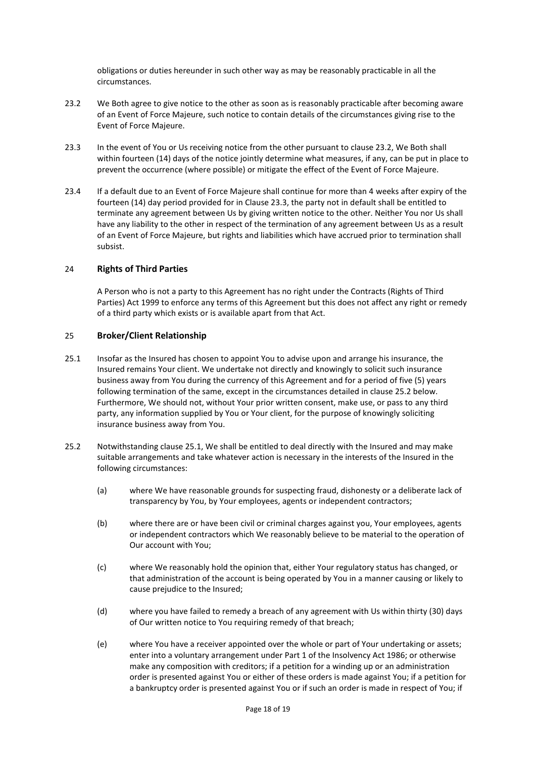obligations or duties hereunder in such other way as may be reasonably practicable in all the circumstances.

- 23.2 We Both agree to give notice to the other as soon as is reasonably practicable after becoming aware of an Event of Force Majeure, such notice to contain details of the circumstances giving rise to the Event of Force Majeure.
- 23.3 In the event of You or Us receiving notice from the other pursuant to clause 23.2, We Both shall within fourteen (14) days of the notice jointly determine what measures, if any, can be put in place to prevent the occurrence (where possible) or mitigate the effect of the Event of Force Majeure.
- 23.4 If a default due to an Event of Force Majeure shall continue for more than 4 weeks after expiry of the fourteen (14) day period provided for in Clause 23.3, the party not in default shall be entitled to terminate any agreement between Us by giving written notice to the other. Neither You nor Us shall have any liability to the other in respect of the termination of any agreement between Us as a result of an Event of Force Majeure, but rights and liabilities which have accrued prior to termination shall subsist.

#### 24 **Rights of Third Parties**

A Person who is not a party to this Agreement has no right under the Contracts (Rights of Third Parties) Act 1999 to enforce any terms of this Agreement but this does not affect any right or remedy of a third party which exists or is available apart from that Act.

#### 25 **Broker/Client Relationship**

- 25.1 Insofar as the Insured has chosen to appoint You to advise upon and arrange his insurance, the Insured remains Your client. We undertake not directly and knowingly to solicit such insurance business away from You during the currency of this Agreement and for a period of five (5) years following termination of the same, except in the circumstances detailed in clause 25.2 below. Furthermore, We should not, without Your prior written consent, make use, or pass to any third party, any information supplied by You or Your client, for the purpose of knowingly soliciting insurance business away from You.
- 25.2 Notwithstanding clause 25.1, We shall be entitled to deal directly with the Insured and may make suitable arrangements and take whatever action is necessary in the interests of the Insured in the following circumstances:
	- (a) where We have reasonable grounds for suspecting fraud, dishonesty or a deliberate lack of transparency by You, by Your employees, agents or independent contractors;
	- (b) where there are or have been civil or criminal charges against you, Your employees, agents or independent contractors which We reasonably believe to be material to the operation of Our account with You;
	- (c) where We reasonably hold the opinion that, either Your regulatory status has changed, or that administration of the account is being operated by You in a manner causing or likely to cause prejudice to the Insured;
	- (d) where you have failed to remedy a breach of any agreement with Us within thirty (30) days of Our written notice to You requiring remedy of that breach;
	- (e) where You have a receiver appointed over the whole or part of Your undertaking or assets; enter into a voluntary arrangement under Part 1 of the Insolvency Act 1986; or otherwise make any composition with creditors; if a petition for a winding up or an administration order is presented against You or either of these orders is made against You; if a petition for a bankruptcy order is presented against You or if such an order is made in respect of You; if